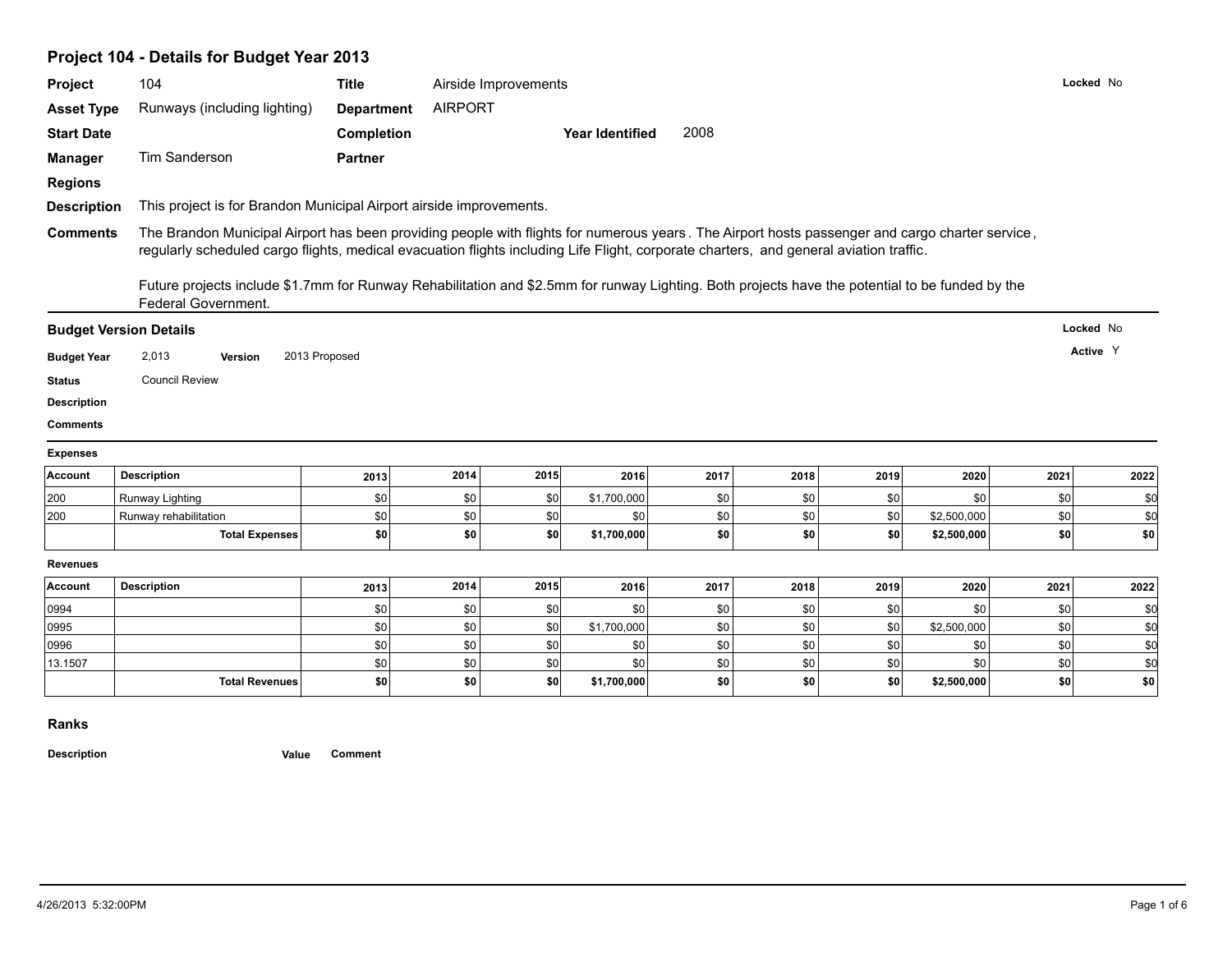# **Project 104 - Details for Budget Year 2013**

| Project            | 104                                                                                                                                                                                                                                                                                       | <b>Title</b>      |                | Airside Improvements |                        |      |      |      |             |      | Locked No |
|--------------------|-------------------------------------------------------------------------------------------------------------------------------------------------------------------------------------------------------------------------------------------------------------------------------------------|-------------------|----------------|----------------------|------------------------|------|------|------|-------------|------|-----------|
| <b>Asset Type</b>  | Runways (including lighting)                                                                                                                                                                                                                                                              | <b>Department</b> | <b>AIRPORT</b> |                      |                        |      |      |      |             |      |           |
| <b>Start Date</b>  |                                                                                                                                                                                                                                                                                           | <b>Completion</b> |                |                      | <b>Year Identified</b> | 2008 |      |      |             |      |           |
| <b>Manager</b>     | Tim Sanderson                                                                                                                                                                                                                                                                             | <b>Partner</b>    |                |                      |                        |      |      |      |             |      |           |
| <b>Regions</b>     |                                                                                                                                                                                                                                                                                           |                   |                |                      |                        |      |      |      |             |      |           |
|                    |                                                                                                                                                                                                                                                                                           |                   |                |                      |                        |      |      |      |             |      |           |
| <b>Description</b> | This project is for Brandon Municipal Airport airside improvements.                                                                                                                                                                                                                       |                   |                |                      |                        |      |      |      |             |      |           |
| <b>Comments</b>    | The Brandon Municipal Airport has been providing people with flights for numerous years. The Airport hosts passenger and cargo charter service,<br>regularly scheduled cargo flights, medical evacuation flights including Life Flight, corporate charters, and general aviation traffic. |                   |                |                      |                        |      |      |      |             |      |           |
|                    | Future projects include \$1.7mm for Runway Rehabilitation and \$2.5mm for runway Lighting. Both projects have the potential to be funded by the<br>Federal Government.                                                                                                                    |                   |                |                      |                        |      |      |      |             |      |           |
|                    | <b>Budget Version Details</b>                                                                                                                                                                                                                                                             |                   |                |                      |                        |      |      |      |             |      | Locked No |
|                    |                                                                                                                                                                                                                                                                                           |                   |                |                      |                        |      |      |      |             |      |           |
|                    |                                                                                                                                                                                                                                                                                           |                   |                |                      |                        |      |      |      |             |      | Active Y  |
| <b>Budget Year</b> | 2,013<br>Version                                                                                                                                                                                                                                                                          | 2013 Proposed     |                |                      |                        |      |      |      |             |      |           |
| <b>Status</b>      | <b>Council Review</b>                                                                                                                                                                                                                                                                     |                   |                |                      |                        |      |      |      |             |      |           |
| <b>Description</b> |                                                                                                                                                                                                                                                                                           |                   |                |                      |                        |      |      |      |             |      |           |
| <b>Comments</b>    |                                                                                                                                                                                                                                                                                           |                   |                |                      |                        |      |      |      |             |      |           |
| <b>Expenses</b>    |                                                                                                                                                                                                                                                                                           |                   |                |                      |                        |      |      |      |             |      |           |
| Account            | <b>Description</b>                                                                                                                                                                                                                                                                        | 2013              | 2014           | 2015                 | 2016                   | 2017 | 2018 | 2019 | 2020        | 2021 | 2022      |
| 200                | Runway Lighting                                                                                                                                                                                                                                                                           | \$0               | \$0            | \$0                  | \$1,700,000            | \$0  | \$0  | \$0  | \$0         | \$0  | \$0       |
| 200                | Runway rehabilitation                                                                                                                                                                                                                                                                     | \$0               | \$0            | \$0                  | \$0                    | \$0  | \$0  | \$0  | \$2,500,000 | \$0  | \$d       |
|                    | <b>Total Expenses</b>                                                                                                                                                                                                                                                                     | \$0               | \$0            | <b>\$0</b>           | \$1,700,000            | \$0  | \$0  | \$0  | \$2,500,000 | \$0  | \$0       |
| <b>Revenues</b>    |                                                                                                                                                                                                                                                                                           |                   |                |                      |                        |      |      |      |             |      |           |
| Account            | <b>Description</b>                                                                                                                                                                                                                                                                        | 2013              | 2014           | 2015                 | 2016                   | 2017 | 2018 | 2019 | 2020        | 2021 | 2022      |
|                    |                                                                                                                                                                                                                                                                                           | \$0               | \$0            | \$0                  | \$0                    | \$0  | \$0  | \$0  | \$0         | \$0  | \$0       |
| 0994<br>0995       |                                                                                                                                                                                                                                                                                           | \$0               | \$0            | \$0                  | \$1,700,000            | \$0  | \$0  | \$0  | \$2,500,000 | \$0  | \$0       |
| 0996               |                                                                                                                                                                                                                                                                                           | \$0               | \$0            | 30                   | \$0                    | \$0  | \$0  | \$0  | \$0         | \$0  | \$d       |
| 13.1507            |                                                                                                                                                                                                                                                                                           | \$0               | \$0            | \$0                  | \$0                    | \$0  | \$0  | \$0  | \$0         | \$0  | \$d       |

### **Ranks**

**Description Value Comment**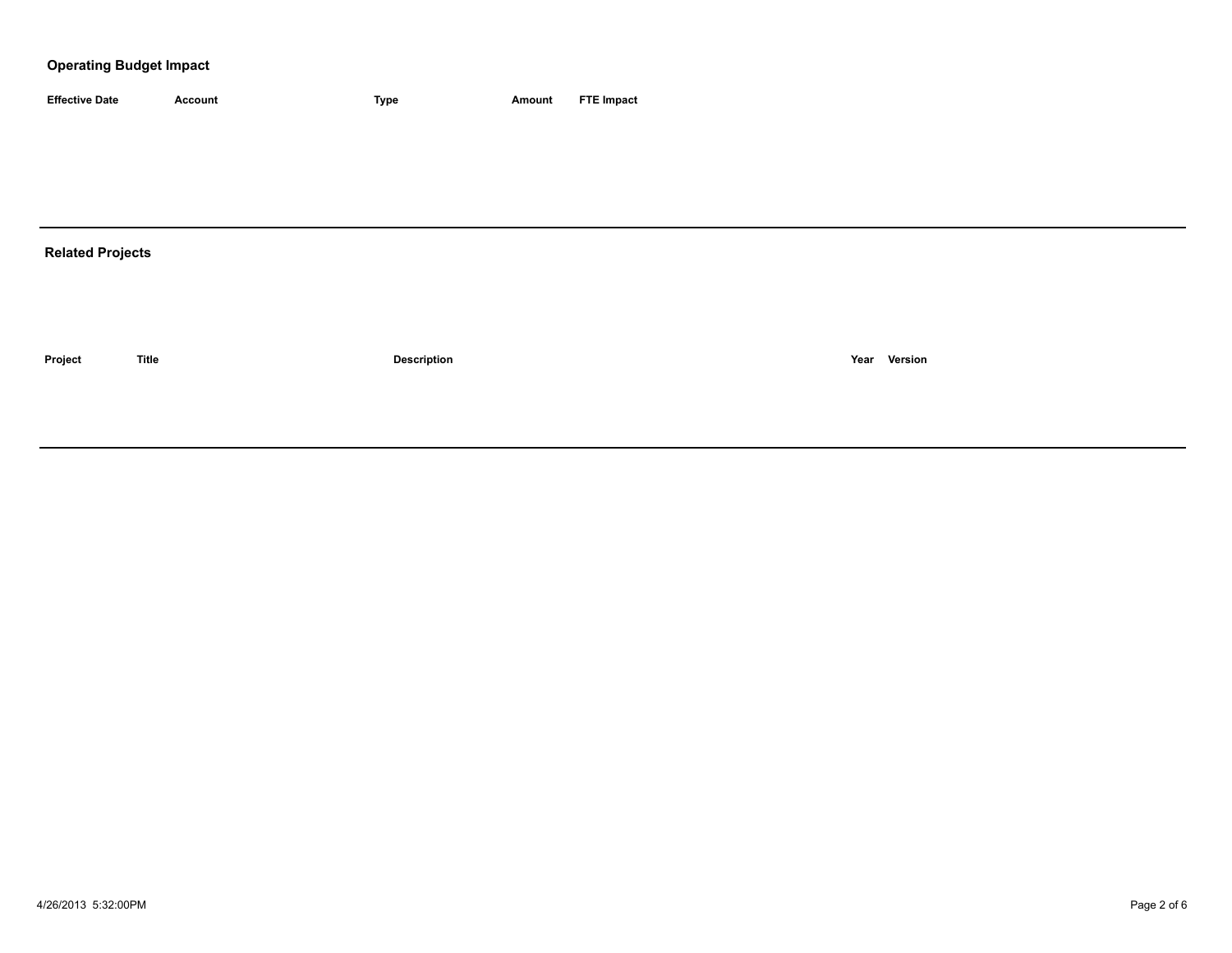### **Operating Budget Impact**

| <b>Effective Date</b>   | Account      | Type               | Amount | <b>FTE Impact</b> |              |
|-------------------------|--------------|--------------------|--------|-------------------|--------------|
|                         |              |                    |        |                   |              |
|                         |              |                    |        |                   |              |
|                         |              |                    |        |                   |              |
|                         |              |                    |        |                   |              |
| <b>Related Projects</b> |              |                    |        |                   |              |
|                         |              |                    |        |                   |              |
|                         |              |                    |        |                   |              |
| Project                 | <b>Title</b> | <b>Description</b> |        |                   | Year Version |
|                         |              |                    |        |                   |              |
|                         |              |                    |        |                   |              |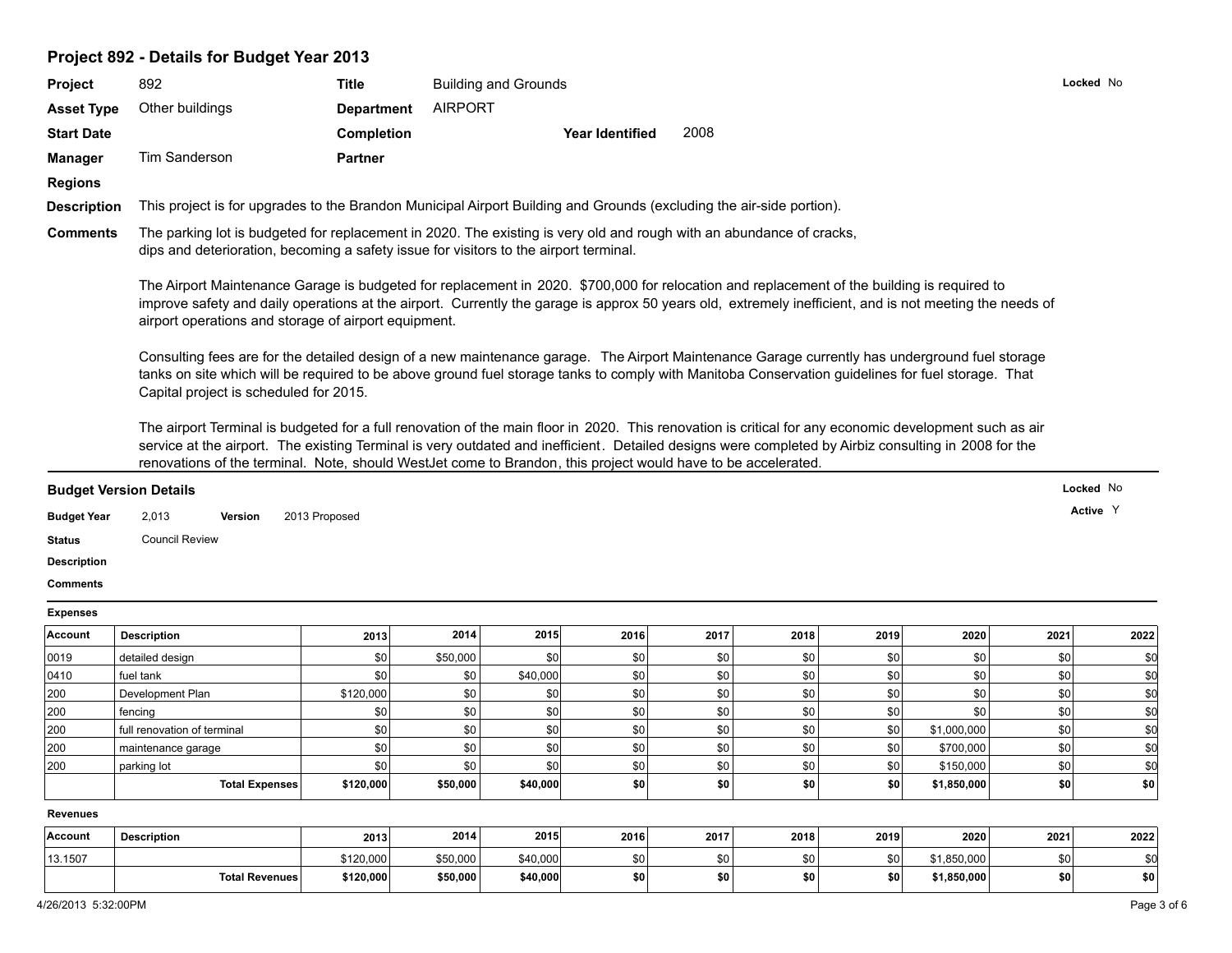## **Project 892 - Details for Budget Year 2013**

|                                                                                                                                                                                                                       | 892                                                                                                                                                                                                                                                                                                                                                                                                                             | <b>Title</b>      |                | <b>Building and Grounds</b> |                        |      |      |      |             |      | Locked No |
|-----------------------------------------------------------------------------------------------------------------------------------------------------------------------------------------------------------------------|---------------------------------------------------------------------------------------------------------------------------------------------------------------------------------------------------------------------------------------------------------------------------------------------------------------------------------------------------------------------------------------------------------------------------------|-------------------|----------------|-----------------------------|------------------------|------|------|------|-------------|------|-----------|
| <b>Asset Type</b>                                                                                                                                                                                                     | Other buildings                                                                                                                                                                                                                                                                                                                                                                                                                 | <b>Department</b> | <b>AIRPORT</b> |                             |                        |      |      |      |             |      |           |
| <b>Start Date</b>                                                                                                                                                                                                     |                                                                                                                                                                                                                                                                                                                                                                                                                                 | <b>Completion</b> |                |                             | <b>Year Identified</b> | 2008 |      |      |             |      |           |
| <b>Manager</b>                                                                                                                                                                                                        | Tim Sanderson                                                                                                                                                                                                                                                                                                                                                                                                                   | <b>Partner</b>    |                |                             |                        |      |      |      |             |      |           |
| <b>Regions</b>                                                                                                                                                                                                        |                                                                                                                                                                                                                                                                                                                                                                                                                                 |                   |                |                             |                        |      |      |      |             |      |           |
| <b>Description</b>                                                                                                                                                                                                    | This project is for upgrades to the Brandon Municipal Airport Building and Grounds (excluding the air-side portion).                                                                                                                                                                                                                                                                                                            |                   |                |                             |                        |      |      |      |             |      |           |
|                                                                                                                                                                                                                       |                                                                                                                                                                                                                                                                                                                                                                                                                                 |                   |                |                             |                        |      |      |      |             |      |           |
| <b>Comments</b>                                                                                                                                                                                                       | The parking lot is budgeted for replacement in 2020. The existing is very old and rough with an abundance of cracks,<br>dips and deterioration, becoming a safety issue for visitors to the airport terminal.                                                                                                                                                                                                                   |                   |                |                             |                        |      |      |      |             |      |           |
|                                                                                                                                                                                                                       | The Airport Maintenance Garage is budgeted for replacement in 2020. \$700,000 for relocation and replacement of the building is required to<br>improve safety and daily operations at the airport. Currently the garage is approx 50 years old, extremely inefficient, and is not meeting the needs of<br>airport operations and storage of airport equipment.                                                                  |                   |                |                             |                        |      |      |      |             |      |           |
|                                                                                                                                                                                                                       | Consulting fees are for the detailed design of a new maintenance garage. The Airport Maintenance Garage currently has underground fuel storage<br>tanks on site which will be required to be above ground fuel storage tanks to comply with Manitoba Conservation guidelines for fuel storage. That<br>Capital project is scheduled for 2015.                                                                                   |                   |                |                             |                        |      |      |      |             |      |           |
|                                                                                                                                                                                                                       | The airport Terminal is budgeted for a full renovation of the main floor in 2020. This renovation is critical for any economic development such as air<br>service at the airport. The existing Terminal is very outdated and inefficient. Detailed designs were completed by Airbiz consulting in 2008 for the<br>renovations of the terminal. Note, should WestJet come to Brandon, this project would have to be accelerated. |                   |                |                             |                        |      |      |      |             |      |           |
|                                                                                                                                                                                                                       |                                                                                                                                                                                                                                                                                                                                                                                                                                 |                   |                |                             |                        |      |      |      |             |      |           |
|                                                                                                                                                                                                                       |                                                                                                                                                                                                                                                                                                                                                                                                                                 |                   |                |                             |                        |      |      |      |             |      | Locked No |
|                                                                                                                                                                                                                       | 2,013<br>Version                                                                                                                                                                                                                                                                                                                                                                                                                | 2013 Proposed     |                |                             |                        |      |      |      |             |      | Active Y  |
|                                                                                                                                                                                                                       |                                                                                                                                                                                                                                                                                                                                                                                                                                 |                   |                |                             |                        |      |      |      |             |      |           |
|                                                                                                                                                                                                                       | <b>Council Review</b>                                                                                                                                                                                                                                                                                                                                                                                                           |                   |                |                             |                        |      |      |      |             |      |           |
|                                                                                                                                                                                                                       |                                                                                                                                                                                                                                                                                                                                                                                                                                 |                   |                |                             |                        |      |      |      |             |      |           |
|                                                                                                                                                                                                                       |                                                                                                                                                                                                                                                                                                                                                                                                                                 |                   |                |                             |                        |      |      |      |             |      |           |
|                                                                                                                                                                                                                       |                                                                                                                                                                                                                                                                                                                                                                                                                                 |                   |                |                             |                        |      |      |      |             |      |           |
|                                                                                                                                                                                                                       | <b>Description</b>                                                                                                                                                                                                                                                                                                                                                                                                              | 2013              | 2014           | 2015                        | 2016                   | 2017 | 2018 | 2019 | 2020        | 2021 | 2022      |
|                                                                                                                                                                                                                       | detailed design                                                                                                                                                                                                                                                                                                                                                                                                                 | \$0               | \$50,000       | \$0                         | \$0                    | \$0  | \$0  | \$0  | \$0         | \$0  | \$0       |
|                                                                                                                                                                                                                       | fuel tank                                                                                                                                                                                                                                                                                                                                                                                                                       | \$0               | \$0            | \$40,000                    | \$0                    | \$0  | \$0  | \$0  | \$0         | \$0  | \$0       |
|                                                                                                                                                                                                                       | Development Plan                                                                                                                                                                                                                                                                                                                                                                                                                | \$120,000         | \$0            | \$0                         | \$0                    | \$0  | \$0  | \$0  | \$0         | \$0  | \$0       |
|                                                                                                                                                                                                                       | fencing                                                                                                                                                                                                                                                                                                                                                                                                                         | \$0               | \$0            | \$0                         | \$0                    | \$0  | \$0  | \$0  | \$0         | \$0  | \$0       |
|                                                                                                                                                                                                                       | full renovation of terminal                                                                                                                                                                                                                                                                                                                                                                                                     | \$0               | \$0            | \$0                         | \$0                    | \$0  | \$0  | \$0  | \$1,000,000 | \$0  | \$0       |
|                                                                                                                                                                                                                       | maintenance garage                                                                                                                                                                                                                                                                                                                                                                                                              | \$0               | \$0            | \$0                         | \$0                    | \$0  | \$0  | \$0  | \$700,000   | \$0  | \$d       |
|                                                                                                                                                                                                                       | parking lot                                                                                                                                                                                                                                                                                                                                                                                                                     | \$0               | \$0            | \$0                         | \$0                    | \$0  | \$0  | \$0  | \$150,000   | \$0  | \$d       |
|                                                                                                                                                                                                                       | <b>Total Expenses</b>                                                                                                                                                                                                                                                                                                                                                                                                           | \$120,000         | \$50,000       | \$40,000                    | \$0                    | \$0  | \$0  | \$0  | \$1,850,000 | \$0  | \$0       |
|                                                                                                                                                                                                                       |                                                                                                                                                                                                                                                                                                                                                                                                                                 |                   |                |                             |                        |      |      |      |             |      |           |
| <b>Budget Version Details</b><br><b>Budget Year</b><br>Status<br><b>Description</b><br><b>Comments</b><br><b>Expenses</b><br>Account<br>0019<br>0410<br>200<br>200<br>200<br>200<br>200<br><b>Revenues</b><br>Account | <b>Description</b>                                                                                                                                                                                                                                                                                                                                                                                                              | 2013              | 2014           | 2015                        | 2016                   | 2017 | 2018 | 2019 | 2020        | 2021 | 2022      |
| 13.1507                                                                                                                                                                                                               |                                                                                                                                                                                                                                                                                                                                                                                                                                 | \$120,000         | \$50,000       | \$40,000                    | \$0                    | \$0  | \$0  | \$0  | \$1,850,000 | \$0  | \$0       |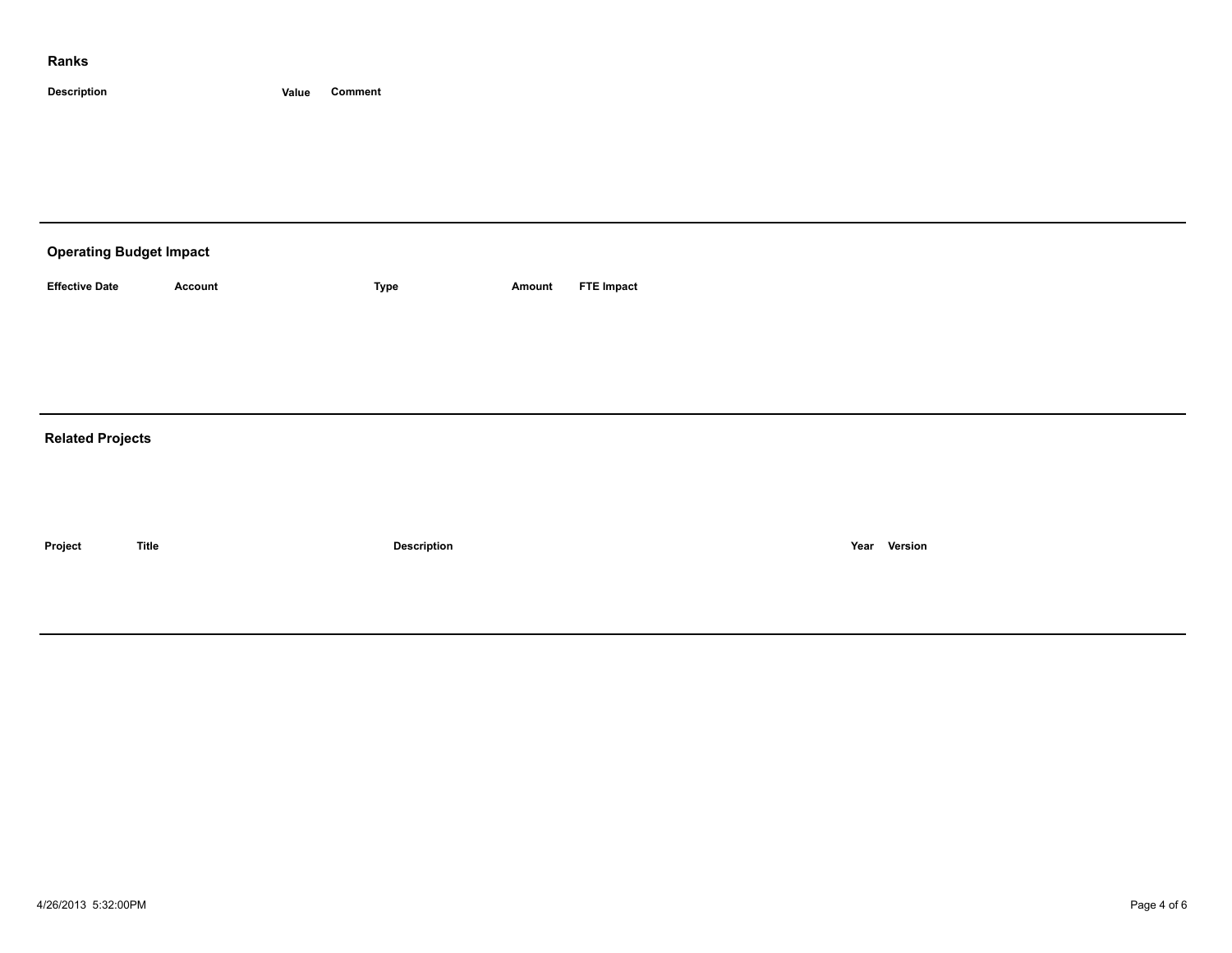#### **Ranks**

**Description Value Comment**

| <b>Operating Budget Impact</b> |              |             |        |                   |      |         |  |  |  |
|--------------------------------|--------------|-------------|--------|-------------------|------|---------|--|--|--|
| <b>Effective Date</b>          | Account      | <b>Type</b> | Amount | <b>FTE Impact</b> |      |         |  |  |  |
|                                |              |             |        |                   |      |         |  |  |  |
|                                |              |             |        |                   |      |         |  |  |  |
| <b>Related Projects</b>        |              |             |        |                   |      |         |  |  |  |
|                                |              |             |        |                   |      |         |  |  |  |
|                                |              |             |        |                   |      |         |  |  |  |
| Project                        | <b>Title</b> | Description |        |                   | Year | Version |  |  |  |
|                                |              |             |        |                   |      |         |  |  |  |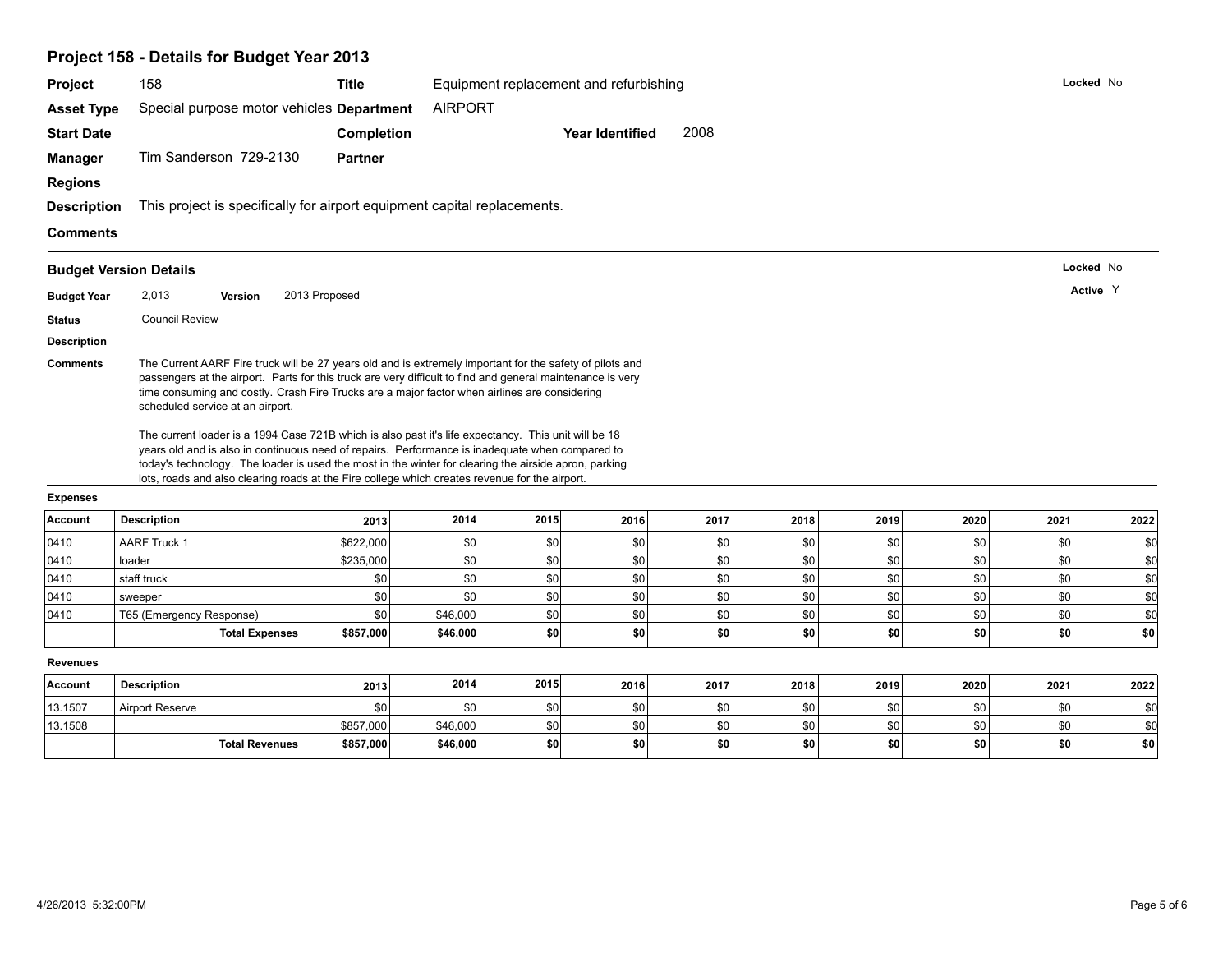|                    | Project 158 - Details for Budget Year 2013                                                                                                                                                                                                                                                                                                                                                                                                                                                                                                                                                                                                                            |                   |                 |            |                                        |            |            |            |            |            |            |
|--------------------|-----------------------------------------------------------------------------------------------------------------------------------------------------------------------------------------------------------------------------------------------------------------------------------------------------------------------------------------------------------------------------------------------------------------------------------------------------------------------------------------------------------------------------------------------------------------------------------------------------------------------------------------------------------------------|-------------------|-----------------|------------|----------------------------------------|------------|------------|------------|------------|------------|------------|
| Project            | 158                                                                                                                                                                                                                                                                                                                                                                                                                                                                                                                                                                                                                                                                   | <b>Title</b>      |                 |            | Equipment replacement and refurbishing |            |            |            |            |            | Locked No  |
| <b>Asset Type</b>  | Special purpose motor vehicles Department                                                                                                                                                                                                                                                                                                                                                                                                                                                                                                                                                                                                                             |                   | <b>AIRPORT</b>  |            |                                        |            |            |            |            |            |            |
| <b>Start Date</b>  |                                                                                                                                                                                                                                                                                                                                                                                                                                                                                                                                                                                                                                                                       | <b>Completion</b> |                 |            | <b>Year Identified</b>                 | 2008       |            |            |            |            |            |
| <b>Manager</b>     | Tim Sanderson 729-2130                                                                                                                                                                                                                                                                                                                                                                                                                                                                                                                                                                                                                                                | <b>Partner</b>    |                 |            |                                        |            |            |            |            |            |            |
| <b>Regions</b>     |                                                                                                                                                                                                                                                                                                                                                                                                                                                                                                                                                                                                                                                                       |                   |                 |            |                                        |            |            |            |            |            |            |
| <b>Description</b> | This project is specifically for airport equipment capital replacements.                                                                                                                                                                                                                                                                                                                                                                                                                                                                                                                                                                                              |                   |                 |            |                                        |            |            |            |            |            |            |
|                    |                                                                                                                                                                                                                                                                                                                                                                                                                                                                                                                                                                                                                                                                       |                   |                 |            |                                        |            |            |            |            |            |            |
| <b>Comments</b>    |                                                                                                                                                                                                                                                                                                                                                                                                                                                                                                                                                                                                                                                                       |                   |                 |            |                                        |            |            |            |            |            |            |
|                    | <b>Budget Version Details</b>                                                                                                                                                                                                                                                                                                                                                                                                                                                                                                                                                                                                                                         |                   |                 |            |                                        |            |            |            |            |            | Locked No  |
| <b>Budget Year</b> | 2,013<br><b>Version</b>                                                                                                                                                                                                                                                                                                                                                                                                                                                                                                                                                                                                                                               | 2013 Proposed     |                 |            |                                        |            |            |            |            |            | Active Y   |
| <b>Status</b>      | <b>Council Review</b>                                                                                                                                                                                                                                                                                                                                                                                                                                                                                                                                                                                                                                                 |                   |                 |            |                                        |            |            |            |            |            |            |
| <b>Description</b> |                                                                                                                                                                                                                                                                                                                                                                                                                                                                                                                                                                                                                                                                       |                   |                 |            |                                        |            |            |            |            |            |            |
|                    | passengers at the airport. Parts for this truck are very difficult to find and general maintenance is very<br>time consuming and costly. Crash Fire Trucks are a major factor when airlines are considering<br>scheduled service at an airport.<br>The current loader is a 1994 Case 721B which is also past it's life expectancy. This unit will be 18<br>years old and is also in continuous need of repairs. Performance is inadequate when compared to<br>today's technology. The loader is used the most in the winter for clearing the airside apron, parking<br>lots, roads and also clearing roads at the Fire college which creates revenue for the airport. |                   |                 |            |                                        |            |            |            |            |            |            |
| <b>Expenses</b>    |                                                                                                                                                                                                                                                                                                                                                                                                                                                                                                                                                                                                                                                                       |                   |                 |            |                                        |            |            |            |            |            |            |
| Account            | <b>Description</b>                                                                                                                                                                                                                                                                                                                                                                                                                                                                                                                                                                                                                                                    | 2013              | 2014            | 2015       | 2016                                   | 2017       | 2018       | 2019       | 2020       | 2021       | 2022       |
| 0410               | <b>AARF Truck 1</b>                                                                                                                                                                                                                                                                                                                                                                                                                                                                                                                                                                                                                                                   | \$622,000         | \$0             | \$0        | \$0                                    | \$0        | \$0        | \$0        | \$0        | \$0        | \$0        |
| 0410               | loader                                                                                                                                                                                                                                                                                                                                                                                                                                                                                                                                                                                                                                                                | \$235,000         | \$0             | \$0        | \$0                                    | \$0        | \$0        | \$0        | \$0        | \$0        | \$0        |
| 0410               | staff truck                                                                                                                                                                                                                                                                                                                                                                                                                                                                                                                                                                                                                                                           | \$0               | \$0             | \$0        | \$0                                    | \$0        | \$0        | \$0        | \$0        | 30         | \$d        |
| 0410               | sweeper                                                                                                                                                                                                                                                                                                                                                                                                                                                                                                                                                                                                                                                               | \$0               | \$0<br>\$46,000 | \$0<br>\$0 | \$0                                    | \$0        | \$0        | \$0        | \$0<br>\$0 | \$0<br>\$0 | \$d<br>\$d |
| 0410               | T65 (Emergency Response)<br>Total Expenses                                                                                                                                                                                                                                                                                                                                                                                                                                                                                                                                                                                                                            | \$0<br>\$857,000  | \$46,000        | \$0        | \$0<br>\$0                             | \$0<br>\$0 | \$0<br>\$0 | \$0<br>\$0 | \$0        | \$0        | \$0        |
|                    |                                                                                                                                                                                                                                                                                                                                                                                                                                                                                                                                                                                                                                                                       |                   |                 |            |                                        |            |            |            |            |            |            |
| <b>Revenues</b>    |                                                                                                                                                                                                                                                                                                                                                                                                                                                                                                                                                                                                                                                                       |                   |                 |            |                                        |            |            |            |            |            |            |
| Account            | <b>Description</b>                                                                                                                                                                                                                                                                                                                                                                                                                                                                                                                                                                                                                                                    | 2013              | 2014            | 2015       | 2016                                   | 2017       | 2018       | 2019       | 2020       | 2021       | 2022       |
| 13.1507            | Airport Reserve                                                                                                                                                                                                                                                                                                                                                                                                                                                                                                                                                                                                                                                       | \$0               | \$0             | \$0        | \$0                                    | \$0        | \$0        | \$0        | \$0        | \$0        | \$0        |
| 13.1508            |                                                                                                                                                                                                                                                                                                                                                                                                                                                                                                                                                                                                                                                                       | \$857,000         | \$46,000        | \$0        | \$0                                    | \$0        | \$0        | \$0        | \$0        | \$0        | \$0        |
|                    | <b>Total Revenues</b>                                                                                                                                                                                                                                                                                                                                                                                                                                                                                                                                                                                                                                                 | \$857,000         | \$46,000        | \$0        | \$0                                    | \$0        | \$0        | \$0        | \$0        | \$0        | \$0        |
|                    |                                                                                                                                                                                                                                                                                                                                                                                                                                                                                                                                                                                                                                                                       |                   |                 |            |                                        |            |            |            |            |            |            |